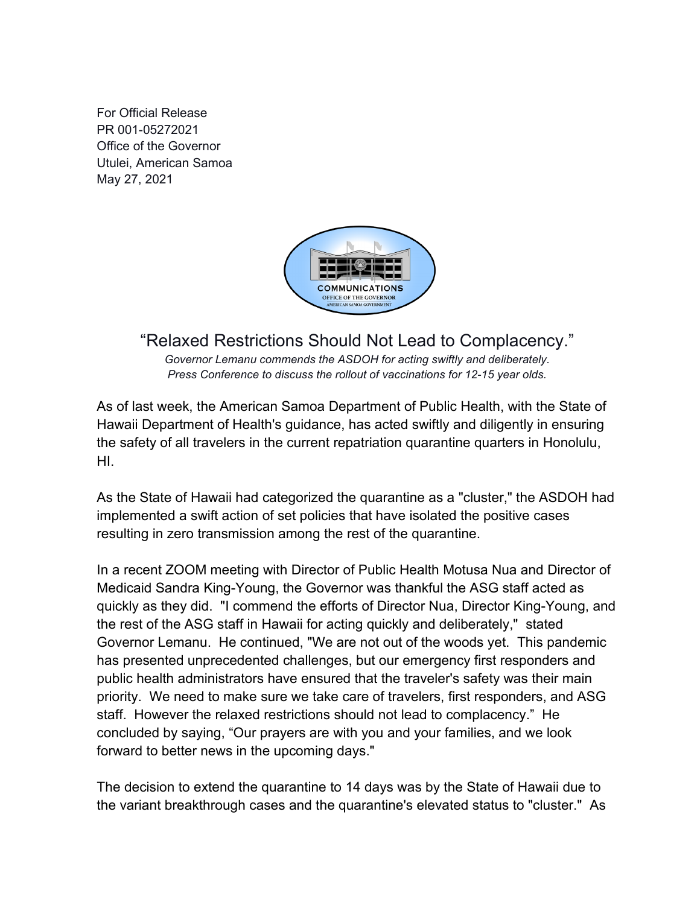For Official Release PR 001-05272021 Office of the Governor Utulei, American Samoa May 27, 2021



## "Relaxed Restrictions Should Not Lead to Complacency."

*Governor Lemanu commends the ASDOH for acting swiftly and deliberately. Press Conference to discuss the rollout of vaccinations for 12-15 year olds.*

As of last week, the American Samoa Department of Public Health, with the State of Hawaii Department of Health's guidance, has acted swiftly and diligently in ensuring the safety of all travelers in the current repatriation quarantine quarters in Honolulu, HI.

As the State of Hawaii had categorized the quarantine as a "cluster," the ASDOH had implemented a swift action of set policies that have isolated the positive cases resulting in zero transmission among the rest of the quarantine.

In a recent ZOOM meeting with Director of Public Health Motusa Nua and Director of Medicaid Sandra King-Young, the Governor was thankful the ASG staff acted as quickly as they did. "I commend the efforts of Director Nua, Director King-Young, and the rest of the ASG staff in Hawaii for acting quickly and deliberately," stated Governor Lemanu. He continued, "We are not out of the woods yet. This pandemic has presented unprecedented challenges, but our emergency first responders and public health administrators have ensured that the traveler's safety was their main priority. We need to make sure we take care of travelers, first responders, and ASG staff. However the relaxed restrictions should not lead to complacency." He concluded by saying, "Our prayers are with you and your families, and we look forward to better news in the upcoming days."

The decision to extend the quarantine to 14 days was by the State of Hawaii due to the variant breakthrough cases and the quarantine's elevated status to "cluster." As